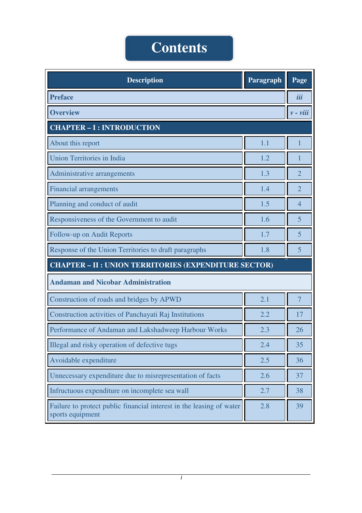## **Contents**

| <b>Description</b>                                                                       | Paragraph | Page                     |  |
|------------------------------------------------------------------------------------------|-----------|--------------------------|--|
| <b>Preface</b>                                                                           |           | iii                      |  |
| <b>Overview</b>                                                                          |           | $\nu$ - $\nu$ <i>iii</i> |  |
| <b>CHAPTER - I : INTRODUCTION</b>                                                        |           |                          |  |
| About this report                                                                        | 1.1       | 1                        |  |
| <b>Union Territories in India</b>                                                        | 1.2       |                          |  |
| Administrative arrangements                                                              | 1.3       | $\overline{2}$           |  |
| <b>Financial arrangements</b>                                                            | 1.4       | $\overline{2}$           |  |
| Planning and conduct of audit                                                            | 1.5       | 4                        |  |
| Responsiveness of the Government to audit                                                | 1.6       | 5                        |  |
| Follow-up on Audit Reports                                                               | 1.7       | 5                        |  |
| Response of the Union Territories to draft paragraphs                                    | 1.8       | 5                        |  |
| <b>CHAPTER - II : UNION TERRITORIES (EXPENDITURE SECTOR)</b>                             |           |                          |  |
| <b>Andaman and Nicobar Administration</b>                                                |           |                          |  |
| Construction of roads and bridges by APWD                                                | 2.1       | $\overline{7}$           |  |
| Construction activities of Panchayati Raj Institutions                                   | 2.2       | 17                       |  |
| Performance of Andaman and Lakshadweep Harbour Works                                     | 2.3       | 26                       |  |
| Illegal and risky operation of defective tugs                                            | 2.4       | 35                       |  |
| Avoidable expenditure                                                                    | 2.5       | 36                       |  |
| Unnecessary expenditure due to misrepresentation of facts                                | 2.6       | 37                       |  |
| Infructuous expenditure on incomplete sea wall                                           | 2.7       | 38                       |  |
| Failure to protect public financial interest in the leasing of water<br>sports equipment | 2.8       | 39                       |  |